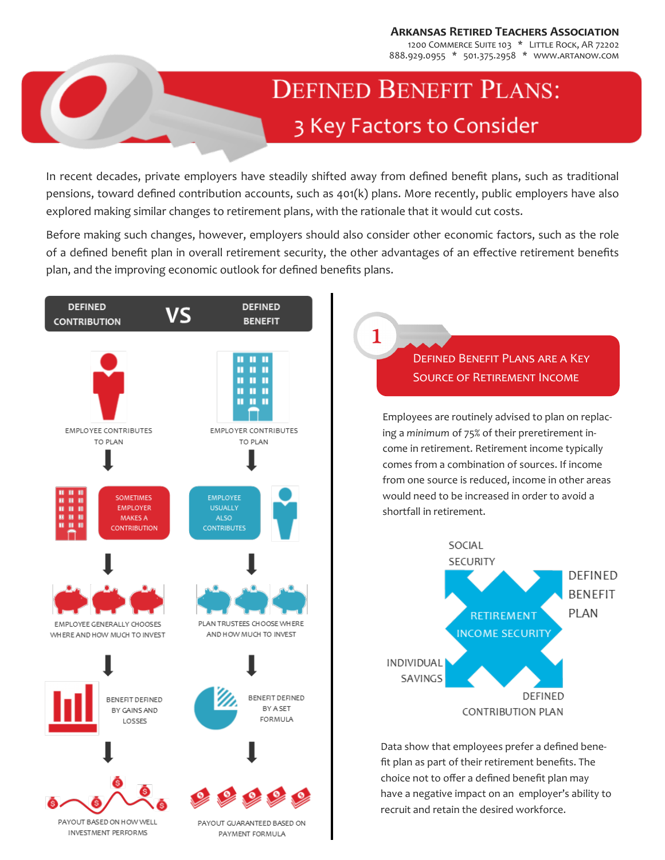**Arkansas Retired Teachers Association**

1200 COMMERCE SUITE 103 \* LITTLE ROCK, AR 72202 888.929.0955 \* 501.375.2958 \* www.artanow.com

# **DEFINED BENEFIT PLANS:** 3 Key Factors to Consider

In recent decades, private employers have steadily shifted away from defined benefit plans, such as traditional pensions, toward defined contribution accounts, such as 401(k) plans. More recently, public employers have also explored making similar changes to retirement plans, with the rationale that it would cut costs.

Before making such changes, however, employers should also consider other economic factors, such as the role of a defined benefit plan in overall retirement security, the other advantages of an effective retirement benefits plan, and the improving economic outlook for defined benefits plans.

1



## Defined Benefit Plans are a Key Source of Retirement Income

Employees are routinely advised to plan on replacing a *minimum* of 75% of their preretirement income in retirement. Retirement income typically comes from a combination of sources. If income from one source is reduced, income in other areas would need to be increased in order to avoid a shortfall in retirement.



Data show that employees prefer a defined benefit plan as part of their retirement benefits. The choice not to offer a defined benefit plan may have a negative impact on an employer's ability to recruit and retain the desired workforce.